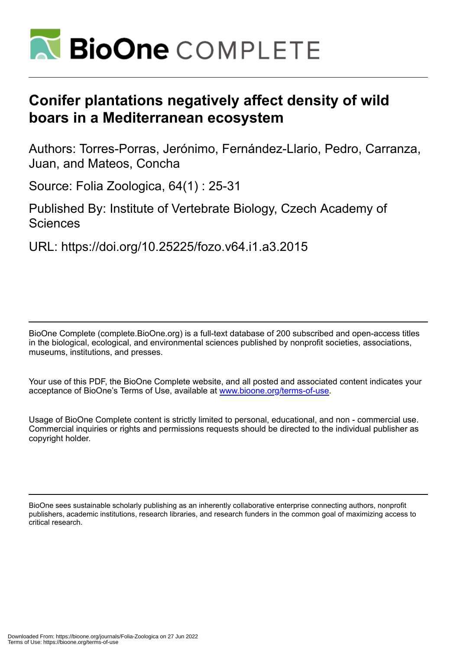

# **Conifer plantations negatively affect density of wild boars in a Mediterranean ecosystem**

Authors: Torres-Porras, Jerónimo, Fernández-Llario, Pedro, Carranza, Juan, and Mateos, Concha

Source: Folia Zoologica, 64(1) : 25-31

Published By: Institute of Vertebrate Biology, Czech Academy of Sciences

URL: https://doi.org/10.25225/fozo.v64.i1.a3.2015

BioOne Complete (complete.BioOne.org) is a full-text database of 200 subscribed and open-access titles in the biological, ecological, and environmental sciences published by nonprofit societies, associations, museums, institutions, and presses.

Your use of this PDF, the BioOne Complete website, and all posted and associated content indicates your acceptance of BioOne's Terms of Use, available at www.bioone.org/terms-of-use.

Usage of BioOne Complete content is strictly limited to personal, educational, and non - commercial use. Commercial inquiries or rights and permissions requests should be directed to the individual publisher as copyright holder.

BioOne sees sustainable scholarly publishing as an inherently collaborative enterprise connecting authors, nonprofit publishers, academic institutions, research libraries, and research funders in the common goal of maximizing access to critical research.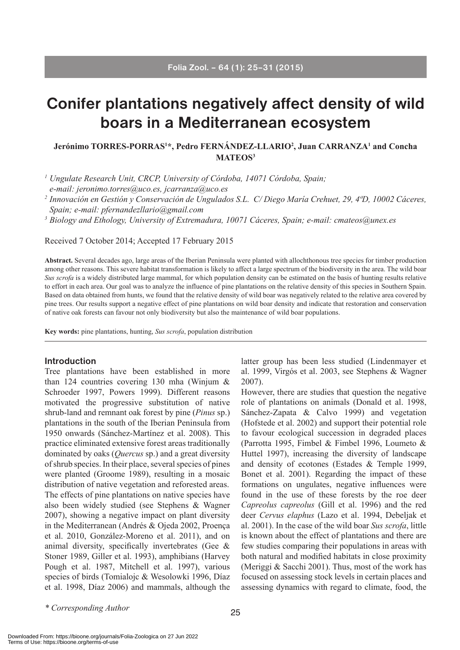# **Conifer plantations negatively affect density of wild boars in a Mediterranean ecosystem**

### **Jerónimo TORRES-PORRAS1 \*, Pedro FERNÁNDEZ-LLARIO2 , Juan CARRANZA1 and Concha MATEOS3**

*<sup>1</sup> Ungulate Research Unit, CRCP, University of Córdoba, 14071 Córdoba, Spain;* 

*e-mail: jeronimo.torres@uco.es, jcarranza@uco.es*

*<sup>2</sup> Innovación en Gestión y Conservación de Ungulados S.L. C/ Diego María Crehuet, 29, 4ªD, 10002 Cáceres, Spain; e-mail: pfernandezllario@gmail.com*

<sup>3</sup> Biology and Ethology, University of Extremadura, 10071 Cáceres, Spain; e-mail: cmateos@unex.es

Received 7 October 2014; Accepted 17 February 2015

**Abstract.** Several decades ago, large areas of the Iberian Peninsula were planted with allochthonous tree species for timber production among other reasons. This severe habitat transformation is likely to affect a large spectrum of the biodiversity in the area. The wild boar *Sus scrofa* is a widely distributed large mammal, for which population density can be estimated on the basis of hunting results relative to effort in each area. Our goal was to analyze the influence of pine plantations on the relative density of this species in Southern Spain. Based on data obtained from hunts, we found that the relative density of wild boar was negatively related to the relative area covered by pine trees. Our results support a negative effect of pine plantations on wild boar density and indicate that restoration and conservation of native oak forests can favour not only biodiversity but also the maintenance of wild boar populations.

**Key words:** pine plantations, hunting, *Sus scrofa*, population distribution

#### **Introduction**

Tree plantations have been established in more than 124 countries covering 130 mha (Winjum & Schroeder 1997, Powers 1999). Different reasons motivated the progressive substitution of native shrub-land and remnant oak forest by pine (*Pinus* sp.) plantations in the south of the Iberian Peninsula from 1950 onwards (Sánchez-Martínez et al. 2008). This practice eliminated extensive forest areas traditionally dominated by oaks (*Quercus* sp.) and a great diversity of shrub species. In their place, several species of pines were planted (Groome 1989), resulting in a mosaic distribution of native vegetation and reforested areas. The effects of pine plantations on native species have also been widely studied (see Stephens & Wagner 2007), showing a negative impact on plant diversity in the Mediterranean (Andrés & Ojeda 2002, Proença et al. 2010, González-Moreno et al. 2011), and on animal diversity, specifically invertebrates (Gee & Stoner 1989, Giller et al. 1993), amphibians (Harvey Pough et al. 1987, Mitchell et al. 1997), various species of birds (Tomialojc & Wesolowki 1996, Díaz et al. 1998, Díaz 2006) and mammals, although the

latter group has been less studied (Lindenmayer et al. 1999, Virgós et al. 2003, see Stephens & Wagner 2007).

However, there are studies that question the negative role of plantations on animals (Donald et al. 1998, Sánchez-Zapata & Calvo 1999) and vegetation (Hofstede et al. 2002) and support their potential role to favour ecological succession in degraded places (Parrotta 1995, Fimbel & Fimbel 1996, Loumeto & Huttel 1997), increasing the diversity of landscape and density of ecotones (Estades & Temple 1999, Bonet et al. 2001). Regarding the impact of these formations on ungulates, negative influences were found in the use of these forests by the roe deer *Capreolus capreolus* (Gill et al. 1996) and the red deer *Cervus elaphus* (Lazo et al. 1994, Debeljak et al. 2001). In the case of the wild boar *Sus scrofa*, little is known about the effect of plantations and there are few studies comparing their populations in areas with both natural and modified habitats in close proximity (Meriggi & Sacchi 2001). Thus, most of the work has focused on assessing stock levels in certain places and assessing dynamics with regard to climate, food, the

*\* Corresponding Author*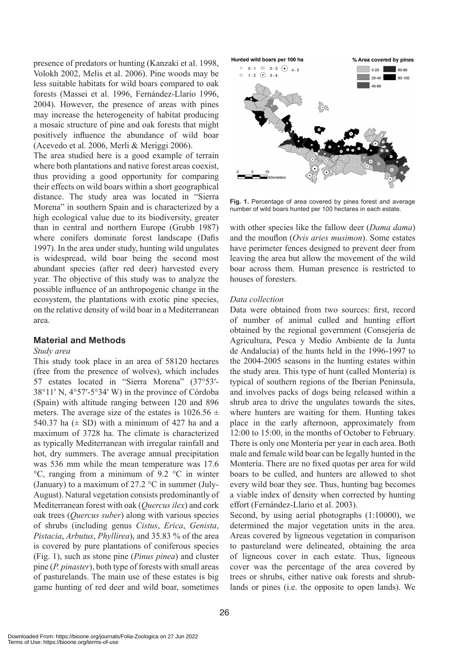presence of predators or hunting (Kanzaki et al. 1998, Volokh 2002, Melis et al. 2006). Pine woods may be less suitable habitats for wild boars compared to oak forests (Massei et al. 1996, Fernández-Llario 1996, 2004). However, the presence of areas with pines may increase the heterogeneity of habitat producing a mosaic structure of pine and oak forests that might positively influence the abundance of wild boar (Acevedo et al. 2006, Merli & Meriggi 2006).

The area studied here is a good example of terrain where both plantations and native forest areas coexist, thus providing a good opportunity for comparing their effects on wild boars within a short geographical distance. The study area was located in "Sierra Morena" in southern Spain and is characterized by a high ecological value due to its biodiversity, greater than in central and northern Europe (Grubb 1987) where conifers dominate forest landscape (Dafis 1997). In the area under study, hunting wild ungulates is widespread, wild boar being the second most abundant species (after red deer) harvested every year. The objective of this study was to analyze the possible influence of an anthropogenic change in the ecosystem, the plantations with exotic pine species, on the relative density of wild boar in a Mediterranean area.

## **Material and Methods**

### *Study area*

This study took place in an area of 58120 hectares (free from the presence of wolves), which includes 57 estates located in "Sierra Morena" (37°53′- 38°11′ N, 4°57′-5°34′ W) in the province of Córdoba (Spain) with altitude ranging between 120 and 896 meters. The average size of the estates is  $1026.56 \pm$ 540.37 ha  $(\pm$  SD) with a minimum of 427 ha and a maximum of 3728 ha. The climate is characterized as typically Mediterranean with irregular rainfall and hot, dry summers. The average annual precipitation was 536 mm while the mean temperature was 17.6 °C, ranging from a minimum of 9.2 °C in winter (January) to a maximum of 27.2  $\degree$ C in summer (July-August). Natural vegetation consists predominantly of Mediterranean forest with oak (*Quercus ilex*) and cork oak trees (*Quercus suber*) along with various species of shrubs (including genus *Cistus*, *Erica*, *Genista*, *Pistacia*, *Arbutus*, *Phyllirea*), and 35.83 % of the area is covered by pure plantations of coniferous species (Fig. 1), such as stone pine (*Pinus pinea*) and cluster pine (*P. pinaster*), both type of forests with small areas of pasturelands. The main use of these estates is big game hunting of red deer and wild boar, sometimes



**Fig. 1.** Percentage of area covered by pines forest and average number of wild boars hunted per 100 hectares in each estate.

with other species like the fallow deer (*Dama dama*) and the mouflon (*Ovis aries musimon*). Some estates have perimeter fences designed to prevent deer from leaving the area but allow the movement of the wild boar across them. Human presence is restricted to houses of foresters.

#### *Data collection*

Data were obtained from two sources: first, record of number of animal culled and hunting effort obtained by the regional government (Consejería de Agricultura, Pesca y Medio Ambiente de la Junta de Andalucía) of the hunts held in the 1996-1997 to the 2004-2005 seasons in the hunting estates within the study area. This type of hunt (called Montería) is typical of southern regions of the Iberian Peninsula, and involves packs of dogs being released within a shrub area to drive the ungulates towards the sites, where hunters are waiting for them. Hunting takes place in the early afternoon, approximately from 12:00 to 15:00, in the months of October to February. There is only one Montería per year in each area. Both male and female wild boar can be legally hunted in the Montería. There are no fixed quotas per area for wild boars to be culled, and hunters are allowed to shot every wild boar they see. Thus, hunting bag becomes a viable index of density when corrected by hunting effort (Fernández-Llario et al. 2003).

Second, by using aerial photographs (1:10000), we determined the major vegetation units in the area. Areas covered by ligneous vegetation in comparison to pastureland were delineated, obtaining the area of ligneous cover in each estate. Thus, ligneous cover was the percentage of the area covered by trees or shrubs, either native oak forests and shrublands or pines (i.e. the opposite to open lands). We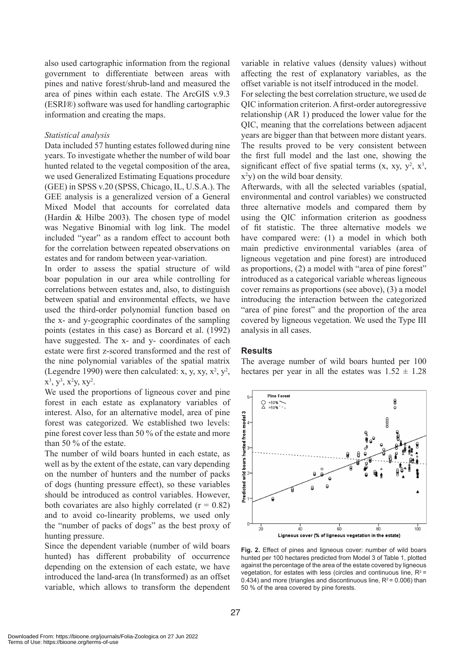also used cartographic information from the regional government to differentiate between areas with pines and native forest/shrub-land and measured the area of pines within each estate. The ArcGIS v.9.3 (ESRI®) software was used for handling cartographic information and creating the maps.

#### *Statistical analysis*

Data included 57 hunting estates followed during nine years. To investigate whether the number of wild boar hunted related to the vegetal composition of the area, we used Generalized Estimating Equations procedure (GEE) in SPSS v.20 (SPSS, Chicago, IL, U.S.A.). The GEE analysis is a generalized version of a General Mixed Model that accounts for correlated data (Hardin & Hilbe 2003). The chosen type of model was Negative Binomial with log link. The model included "year" as a random effect to account both for the correlation between repeated observations on estates and for random between year-variation.

In order to assess the spatial structure of wild boar population in our area while controlling for correlations between estates and, also, to distinguish between spatial and environmental effects, we have used the third-order polynomial function based on the x- and y-geographic coordinates of the sampling points (estates in this case) as Borcard et al. (1992) have suggested. The x- and y- coordinates of each estate were first z-scored transformed and the rest of the nine polynomial variables of the spatial matrix (Legendre 1990) were then calculated: x, y, xy,  $x^2$ ,  $y^2$ ,  $x^3$ ,  $y^3$ ,  $x^2y$ ,  $xy^2$ .

We used the proportions of ligneous cover and pine forest in each estate as explanatory variables of interest. Also, for an alternative model, area of pine forest was categorized. We established two levels: pine forest cover less than 50 % of the estate and more than 50 % of the estate.

The number of wild boars hunted in each estate, as well as by the extent of the estate, can vary depending on the number of hunters and the number of packs of dogs (hunting pressure effect), so these variables should be introduced as control variables. However, both covariates are also highly correlated  $(r = 0.82)$ and to avoid co-linearity problems, we used only the "number of packs of dogs" as the best proxy of hunting pressure.

Since the dependent variable (number of wild boars hunted) has different probability of occurrence depending on the extension of each estate, we have introduced the land-area (ln transformed) as an offset variable, which allows to transform the dependent variable in relative values (density values) without affecting the rest of explanatory variables, as the offset variable is not itself introduced in the model.

For selecting the best correlation structure, we used de QIC information criterion. A first-order autoregressive relationship (AR 1) produced the lower value for the QIC, meaning that the correlations between adjacent years are bigger than that between more distant years. The results proved to be very consistent between the first full model and the last one, showing the significant effect of five spatial terms (x, xy, y2 , x3 , x2 y) on the wild boar density.

Afterwards, with all the selected variables (spatial, environmental and control variables) we constructed three alternative models and compared them by using the QIC information criterion as goodness of fit statistic. The three alternative models we have compared were: (1) a model in which both main predictive environmental variables (area of ligneous vegetation and pine forest) are introduced as proportions, (2) a model with "area of pine forest" introduced as a categorical variable whereas ligneous cover remains as proportions (see above), (3) a model introducing the interaction between the categorized "area of pine forest" and the proportion of the area covered by ligneous vegetation. We used the Type III analysis in all cases.

#### **Results**

The average number of wild boars hunted per 100 hectares per year in all the estates was  $1.52 \pm 1.28$ 



**Fig. 2.** Effect of pines and ligneous cover: number of wild boars hunted per 100 hectares predicted from Model 3 of Table 1, plotted against the percentage of the area of the estate covered by ligneous vegetation, for estates with less (circles and continuous line,  $R^2$  = 0.434) and more (triangles and discontinuous line,  $R^2$  = 0.006) than 50 % of the area covered by pine forests.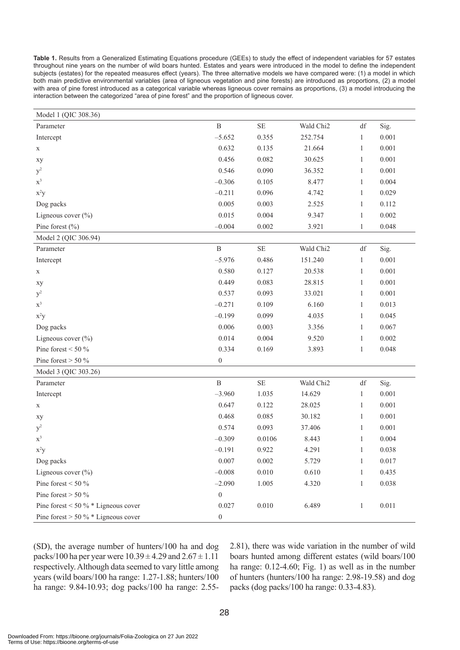**Table 1.** Results from a Generalized Estimating Equations procedure (GEEs) to study the effect of independent variables for 57 estates throughout nine years on the number of wild boars hunted. Estates and years were introduced in the model to define the independent subjects (estates) for the repeated measures effect (years). The three alternative models we have compared were: (1) a model in which both main predictive environmental variables (area of ligneous vegetation and pine forests) are introduced as proportions, (2) a model with area of pine forest introduced as a categorical variable whereas ligneous cover remains as proportions, (3) a model introducing the interaction between the categorized "area of pine forest" and the proportion of ligneous cover.

| Model 1 (QIC 308.36)                    |                  |          |                       |                        |       |
|-----------------------------------------|------------------|----------|-----------------------|------------------------|-------|
| Parameter                               | $\, {\bf B}$     | $\rm SE$ | Wald Chi2             | df                     | Sig.  |
| Intercept                               | $-5.652$         | 0.355    | 252.754               | $\mathbf{1}$           | 0.001 |
| $\mathbf X$                             | 0.632            | 0.135    | 21.664                | $\mathbf{1}$           | 0.001 |
| хy                                      | 0.456            | 0.082    | 30.625                | $\mathbf{1}$           | 0.001 |
| $y^2$                                   | 0.546            | 0.090    | 36.352                | $\mathbf{1}$           | 0.001 |
| $\mathbf{x}^3$                          | $-0.306$         | 0.105    | 8.477                 | $\mathbf{1}$           | 0.004 |
| $x^2y$                                  | $-0.211$         | 0.096    | 4.742                 | $\mathbf{1}$           | 0.029 |
| Dog packs                               | 0.005            | 0.003    | 2.525                 | $\mathbf{1}$           | 0.112 |
| Ligneous cover $(\%)$                   | 0.015            | 0.004    | 9.347                 | $\mathbf{1}$           | 0.002 |
| Pine forest $(\% )$                     | $-0.004$         | 0.002    | 3.921                 | $\mathbf{1}$           | 0.048 |
| Model 2 (QIC 306.94)                    |                  |          |                       |                        |       |
| Parameter                               | $\, {\bf B}$     | $\rm SE$ | Wald Chi <sub>2</sub> | $\mathrm{d}\mathrm{f}$ | Sig.  |
| Intercept                               | $-5.976$         | 0.486    | 151.240               | $\mathbf{1}$           | 0.001 |
| $\mathbf X$                             | 0.580            | 0.127    | 20.538                | $\mathbf{1}$           | 0.001 |
| xy                                      | 0.449            | 0.083    | 28.815                | $\mathbf{1}$           | 0.001 |
| $y^2$                                   | 0.537            | 0.093    | 33.021                | $\mathbf{1}$           | 0.001 |
| $x^3$                                   | $-0.271$         | 0.109    | 6.160                 | $\mathbf{1}$           | 0.013 |
| $x^2y$                                  | $-0.199$         | 0.099    | 4.035                 | $\mathbf{1}$           | 0.045 |
| Dog packs                               | 0.006            | 0.003    | 3.356                 | $\mathbf{1}$           | 0.067 |
| Ligneous cover $(\%)$                   | 0.014            | 0.004    | 9.520                 | $\mathbf{1}$           | 0.002 |
| Pine forest $<$ 50 $\%$                 | 0.334            | 0.169    | 3.893                 | $\mathbf{1}$           | 0.048 |
| Pine forest $> 50 \%$                   | $\boldsymbol{0}$ |          |                       |                        |       |
| Model 3 (QIC 303.26)                    |                  |          |                       |                        |       |
| Parameter                               | $\, {\bf B}$     | $\rm SE$ | Wald Chi2             | $\mathrm{d}\mathrm{f}$ | Sig.  |
| Intercept                               | $-3.960$         | 1.035    | 14.629                | $\mathbf{1}$           | 0.001 |
| $\mathbf X$                             | 0.647            | 0.122    | 28.025                | $\mathbf{1}$           | 0.001 |
| xy                                      | 0.468            | 0.085    | 30.182                | $\mathbf{1}$           | 0.001 |
| $y^2$                                   | 0.574            | 0.093    | 37.406                | $\mathbf{1}$           | 0.001 |
| $\mathbf{x}^3$                          | $-0.309$         | 0.0106   | 8.443                 | $\mathbf{1}$           | 0.004 |
| $x^2y$                                  | $-0.191$         | 0.922    | 4.291                 | $\mathbf{1}$           | 0.038 |
| Dog packs                               | 0.007            | 0.002    | 5.729                 | $\mathbf{1}$           | 0.017 |
| Ligneous cover $(\%)$                   | $-0.008$         | 0.010    | 0.610                 | $\mathbf{1}$           | 0.435 |
| Pine forest < 50 $\%$                   | $-2.090$         | 1.005    | 4.320                 | $\mathbf{1}$           | 0.038 |
| Pine forest $> 50\%$                    | $\boldsymbol{0}$ |          |                       |                        |       |
| Pine forest $<$ 50 % $*$ Ligneous cover | 0.027            | 0.010    | 6.489                 | $\mathbf{1}$           | 0.011 |
| Pine forest $> 50 \%$ * Ligneous cover  | $\boldsymbol{0}$ |          |                       |                        |       |

(SD), the average number of hunters/100 ha and dog packs/100 ha per year were  $10.39 \pm 4.29$  and  $2.67 \pm 1.11$ respectively. Although data seemed to vary little among years (wild boars/100 ha range: 1.27-1.88; hunters/100 ha range: 9.84-10.93; dog packs/100 ha range: 2.552.81), there was wide variation in the number of wild boars hunted among different estates (wild boars/100 ha range: 0.12-4.60; Fig. 1) as well as in the number of hunters (hunters/100 ha range: 2.98-19.58) and dog packs (dog packs/100 ha range: 0.33-4.83).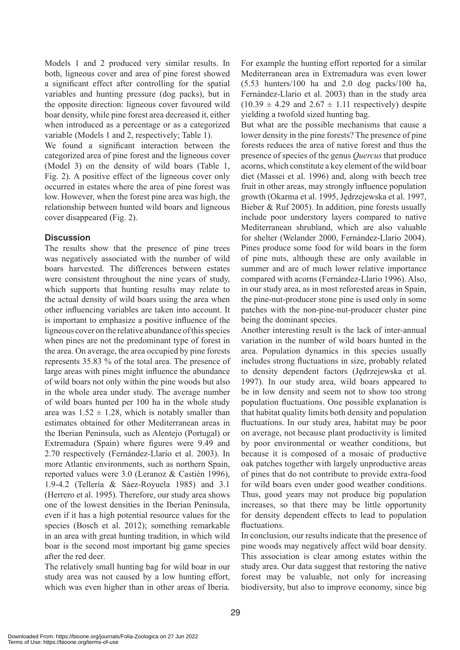Models 1 and 2 produced very similar results. In both, ligneous cover and area of pine forest showed a significant effect after controlling for the spatial variables and hunting pressure (dog packs), but in the opposite direction: ligneous cover favoured wild boar density, while pine forest area decreased it, either when introduced as a percentage or as a categorized variable (Models 1 and 2, respectively; Table 1).

We found a significant interaction between the categorized area of pine forest and the ligneous cover (Model 3) on the density of wild boars (Table 1, Fig. 2). A positive effect of the ligneous cover only occurred in estates where the area of pine forest was low. However, when the forest pine area was high, the relationship between hunted wild boars and ligneous cover disappeared (Fig. 2).

## **Discussion**

The results show that the presence of pine trees was negatively associated with the number of wild boars harvested. The differences between estates were consistent throughout the nine years of study, which supports that hunting results may relate to the actual density of wild boars using the area when other influencing variables are taken into account. It is important to emphasize a positive influence of the ligneous cover on the relative abundance of this species when pines are not the predominant type of forest in the area. On average, the area occupied by pine forests represents 35.83 % of the total area. The presence of large areas with pines might influence the abundance of wild boars not only within the pine woods but also in the whole area under study. The average number of wild boars hunted per 100 ha in the whole study area was  $1.52 \pm 1.28$ , which is notably smaller than estimates obtained for other Mediterranean areas in the Iberian Peninsula, such as Alentejo (Portugal) or Extremadura (Spain) where figures were 9.49 and 2.70 respectively (Fernández-Llario et al. 2003). In more Atlantic environments, such as northern Spain, reported values were 3.0 (Leranoz & Castién 1996), 1.9-4.2 (Tellería & Sáez-Royuela 1985) and 3.1 (Herrero et al. 1995). Therefore, our study area shows one of the lowest densities in the Iberian Peninsula, even if it has a high potential resource values for the species (Bosch et al. 2012); something remarkable in an area with great hunting tradition, in which wild boar is the second most important big game species after the red deer.

The relatively small hunting bag for wild boar in our study area was not caused by a low hunting effort, which was even higher than in other areas of Iberia. For example the hunting effort reported for a similar Mediterranean area in Extremadura was even lower (5.53 hunters/100 ha and 2.0 dog packs/100 ha, Fernández-Llario et al. 2003) than in the study area  $(10.39 \pm 4.29 \text{ and } 2.67 \pm 1.11 \text{ respectively})$  despite yielding a twofold sized hunting bag.

But what are the possible mechanisms that cause a lower density in the pine forests? The presence of pine forests reduces the area of native forest and thus the presence of species of the genus *Quercus* that produce acorns, which constitute a key element of the wild boar diet (Massei et al. 1996) and, along with beech tree fruit in other areas, may strongly influence population growth (Okarma et al. 1995, Jędrzejewska et al. 1997, Bieber & Ruf 2005). In addition, pine forests usually include poor understory layers compared to native Mediterranean shrubland, which are also valuable for shelter (Welander 2000, Fernández-Llario 2004). Pines produce some food for wild boars in the form of pine nuts, although these are only available in summer and are of much lower relative importance compared with acorns (Fernández-Llario 1996). Also, in our study area, as in most reforested areas in Spain, the pine-nut-producer stone pine is used only in some patches with the non-pine-nut-producer cluster pine being the dominant species.

Another interesting result is the lack of inter-annual variation in the number of wild boars hunted in the area. Population dynamics in this species usually includes strong fluctuations in size, probably related to density dependent factors (Jędrzejewska et al. 1997). In our study area, wild boars appeared to be in low density and seem not to show too strong population fluctuations. One possible explanation is that habitat quality limits both density and population fluctuations. In our study area, habitat may be poor on average, not because plant productivity is limited by poor environmental or weather conditions, but because it is composed of a mosaic of productive oak patches together with largely unproductive areas of pines that do not contribute to provide extra-food for wild boars even under good weather conditions. Thus, good years may not produce big population increases, so that there may be little opportunity for density dependent effects to lead to population fluctuations.

In conclusion, our results indicate that the presence of pine woods may negatively affect wild boar density. This association is clear among estates within the study area. Our data suggest that restoring the native forest may be valuable, not only for increasing biodiversity, but also to improve economy, since big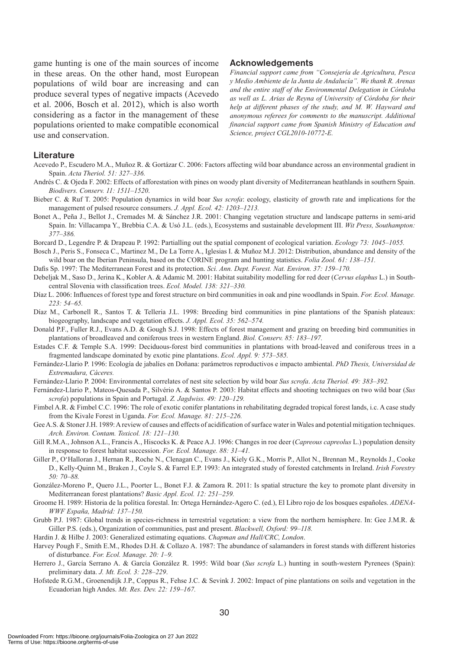game hunting is one of the main sources of income in these areas. On the other hand, most European populations of wild boar are increasing and can produce several types of negative impacts (Acevedo et al. 2006, Bosch et al. 2012), which is also worth considering as a factor in the management of these populations oriented to make compatible economical use and conservation.

#### **Acknowledgements**

*Financial support came from "Consejería de Agricultura, Pesca y Medio Ambiente de la Junta de Andalucía". We thank R. Arenas and the entire staff of the Environmental Delegation in Córdoba as well as L. Arias de Reyna of University of Córdoba for their help at different phases of the study, and M. W. Hayward and anonymous referees for comments to the manuscript. Additional financial support came from Spanish Ministry of Education and Science, project CGL2010-10772-E.*

#### **Literature**

- Acevedo P., Escudero M.A., Muñoz R. & Gortázar C. 2006: Factors affecting wild boar abundance across an environmental gradient in Spain. *Acta Theriol. 51: 327–336.*
- Andrés C. & Ojeda F. 2002: Effects of afforestation with pines on woody plant diversity of Mediterranean heathlands in southern Spain. *Biodivers. Conserv. 11: 1511–1520*.
- Bieber C. & Ruf T. 2005: Population dynamics in wild boar *Sus scrofa*: ecology, elasticity of growth rate and implications for the management of pulsed resource consumers. *J. Appl. Ecol. 42: 1203–1213.*
- Bonet A., Peña J., Bellot J., Cremades M. & Sánchez J.R. 2001: Changing vegetation structure and landscape patterns in semi-arid Spain. In: Villacampa Y., Brebbia C.A. & Usó J.L. (eds.), Ecosystems and sustainable development III. *Wit Press, Southampton: 377–386.*
- Borcard D., Legendre P. & Drapeau P. 1992: Partialling out the spatial component of ecological variation. *Ecology 73: 1045–1055.*
- Bosch J., Peris S., Fonseca C., Martinez M., De La Torre A., Iglesias I. & Muñoz M.J. 2012: Distribution, abundance and density of the wild boar on the Iberian Peninsula, based on the CORINE program and hunting statistics. *Folia Zool. 61: 138–151.*
- Dafis Sp. 1997: The Mediterranean Forest and its protection. *Sci. Ann. Dept. Forest. Nat. Environ. 37: 159–170.*
- Debeljak M., Saso D., Jerina K., Kobler A. & Adamic M. 2001: Habitat suitability modelling for red deer (*Cervus elaphus* L.) in Southcentral Slovenia with classification trees. *Ecol. Model. 138: 321–330.*
- Díaz L. 2006: Influences of forest type and forest structure on bird communities in oak and pine woodlands in Spain. *For. Ecol. Manage. 223: 54–65.*
- Díaz M., Carbonell R., Santos T. & Telleria J.L. 1998: Breeding bird communities in pine plantations of the Spanish plateaux: biogeography, landscape and vegetation effects. *J. Appl. Ecol. 35: 562–574.*
- Donald P.F., Fuller R.J., Evans A.D. & Gough S.J. 1998: Effects of forest management and grazing on breeding bird communities in plantations of broadleaved and coniferous trees in western England. *Biol. Conserv. 85: 183–197.*
- Estades C.F. & Temple S.A. 1999: Deciduous-forest bird communities in plantations with broad-leaved and coniferous trees in a fragmented landscape dominated by exotic pine plantations. *Ecol. Appl. 9: 573–585.*
- Fernández-Llario P. 1996: Ecología de jabalíes en Doñana: parámetros reproductivos e impacto ambiental. *PhD Thesis, Universidad de Extremadura, Cáceres.*
- Fernández-Llario P. 2004: Environmental correlates of nest site selection by wild boar *Sus scrofa*. *Acta Theriol. 49: 383–392.*
- Fernández-Llario P., Mateos-Quesada P., Silvério A. & Santos P. 2003: Habitat effects and shooting techniques on two wild boar (*Sus scrofa*) populations in Spain and Portugal. *Z. Jagdwiss. 49: 120–129.*
- Fimbel A.R. & Fimbel C.C. 1996: The role of exotic conifer plantations in rehabilitating degraded tropical forest lands, i.c. A case study from the Kivale Forest in Uganda. *For. Ecol. Manage. 81: 215–226.*
- Gee A.S. & Stoner J.H. 1989: A review of causes and effects of acidification of surface water in Wales and potential mitigation techniques. *Arch. Environ. Contam. Toxicol. 18: 121–130.*
- Gill R.M.A., Johnson A.L., Francis A., Hiscocks K. & Peace A.J. 1996: Changes in roe deer (*Capreous capreolus* L.) population density in response to forest habitat succession. *For. Ecol. Manage. 88: 31–41.*
- Giller P., O'Halloran J., Hernan R., Roche N., Clenagan C., Evans J., Kiely G.K., Morris P., Allot N., Brennan M., Reynolds J., Cooke D., Kelly-Quinn M., Braken J., Coyle S. & Farrel E.P. 1993: An integrated study of forested catchments in Ireland. *Irish Forestry 50: 70–88.*
- González-Moreno P., Quero J.L., Poorter L., Bonet F.J. & Zamora R. 2011: Is spatial structure the key to promote plant diversity in Mediterranean forest plantations? *Basic Appl. Ecol. 12: 251–259.*
- Groome H. 1989: Historia de la política forestal. In: Ortega Hernández-Agero C. (ed.), El Libro rojo de los bosques españoles. *ADENA-WWF España, Madrid: 137–150.*
- Grubb P.J. 1987: Global trends in species-richness in terrestrial vegetation: a view from the northern hemisphere. In: Gee J.M.R. & Giller P.S. (eds.), Organization of communities, past and present. *Blackwell, Oxford: 99–118.*
- Hardin J. & Hilbe J. 2003: Generalized estimating equations. *Chapman and Hall/CRC, London*.
- Harvey Pough F., Smith E.M., Rhodes D.H. & Collazo A. 1987: The abundance of salamanders in forest stands with different histories of disturbance. *For. Ecol. Manage. 20: 1–9.*
- Herrero J., García Serrano A. & García González R. 1995: Wild boar (*Sus scrofa* L.) hunting in south-western Pyrenees (Spain): preliminary data. *J. Mt. Ecol. 3: 228–229*.
- Hofstede R.G.M., Groenendijk J.P., Coppus R., Fehse J.C. & Sevink J. 2002: Impact of pine plantations on soils and vegetation in the Ecuadorian high Andes. *Mt. Res. Dev. 22: 159–167.*